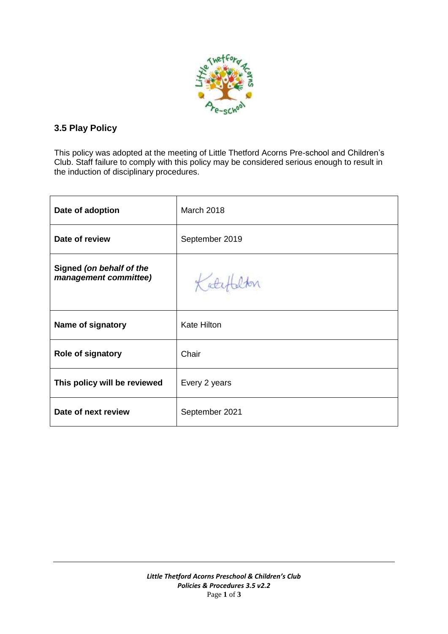

## **3.5 Play Policy**

This policy was adopted at the meeting of Little Thetford Acorns Pre-school and Children's Club. Staff failure to comply with this policy may be considered serious enough to result in the induction of disciplinary procedures.

| Date of adoption                                  | <b>March 2018</b>  |
|---------------------------------------------------|--------------------|
| Date of review                                    | September 2019     |
| Signed (on behalf of the<br>management committee) |                    |
| Name of signatory                                 | <b>Kate Hilton</b> |
| Role of signatory                                 | Chair              |
| This policy will be reviewed                      | Every 2 years      |
| Date of next review                               | September 2021     |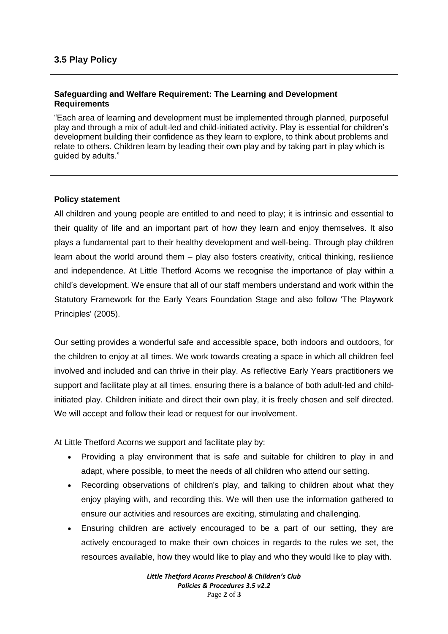## **Safeguarding and Welfare Requirement: The Learning and Development Requirements**

"Each area of learning and development must be implemented through planned, purposeful play and through a mix of adult-led and child-initiated activity. Play is essential for children's development building their confidence as they learn to explore, to think about problems and relate to others. Children learn by leading their own play and by taking part in play which is guided by adults."

## **Policy statement**

All children and young people are entitled to and need to play; it is intrinsic and essential to their quality of life and an important part of how they learn and enjoy themselves. It also plays a fundamental part to their healthy development and well-being. Through play children learn about the world around them – play also fosters creativity, critical thinking, resilience and independence. At Little Thetford Acorns we recognise the importance of play within a child's development. We ensure that all of our staff members understand and work within the Statutory Framework for the Early Years Foundation Stage and also follow 'The Playwork Principles' (2005).

Our setting provides a wonderful safe and accessible space, both indoors and outdoors, for the children to enjoy at all times. We work towards creating a space in which all children feel involved and included and can thrive in their play. As reflective Early Years practitioners we support and facilitate play at all times, ensuring there is a balance of both adult-led and childinitiated play. Children initiate and direct their own play, it is freely chosen and self directed. We will accept and follow their lead or request for our involvement.

At Little Thetford Acorns we support and facilitate play by:

- Providing a play environment that is safe and suitable for children to play in and adapt, where possible, to meet the needs of all children who attend our setting.
- Recording observations of children's play, and talking to children about what they enjoy playing with, and recording this. We will then use the information gathered to ensure our activities and resources are exciting, stimulating and challenging.
- Ensuring children are actively encouraged to be a part of our setting, they are actively encouraged to make their own choices in regards to the rules we set, the resources available, how they would like to play and who they would like to play with.